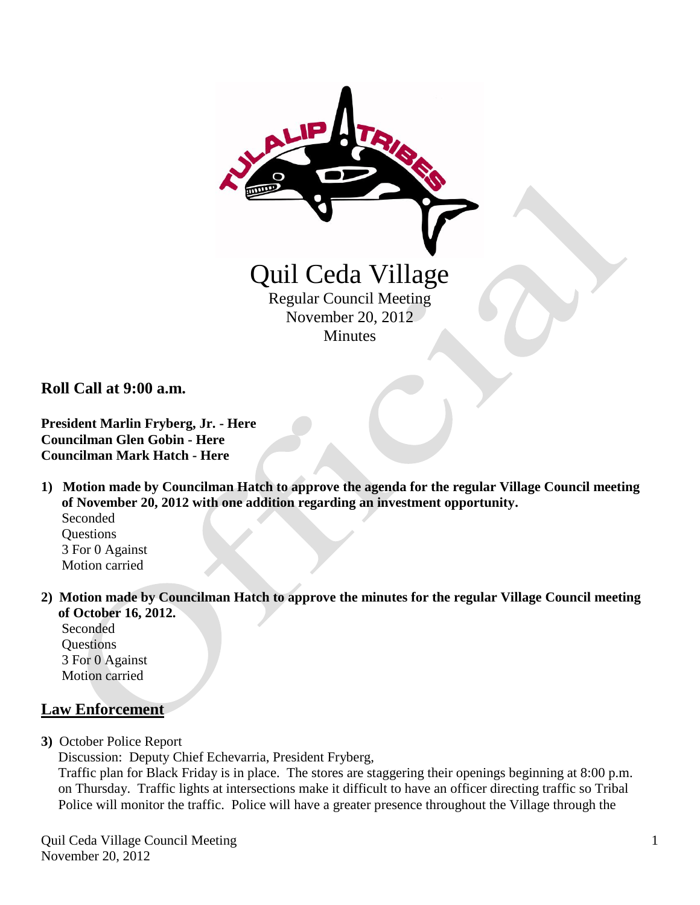

**Roll Call at 9:00 a.m.**

**President Marlin Fryberg, Jr. - Here Councilman Glen Gobin - Here Councilman Mark Hatch - Here**

- **1) Motion made by Councilman Hatch to approve the agenda for the regular Village Council meeting of November 20, 2012 with one addition regarding an investment opportunity.** Seconded **Ouestions**  3 For 0 Against
	- Motion carried
- **2) Motion made by Councilman Hatch to approve the minutes for the regular Village Council meeting of October 16, 2012.**

 Seconded **Questions**  3 For 0 Against Motion carried

## **Law Enforcement**

**3)** October Police Report

Discussion: Deputy Chief Echevarria, President Fryberg,

 Traffic plan for Black Friday is in place. The stores are staggering their openings beginning at 8:00 p.m. on Thursday. Traffic lights at intersections make it difficult to have an officer directing traffic so Tribal Police will monitor the traffic. Police will have a greater presence throughout the Village through the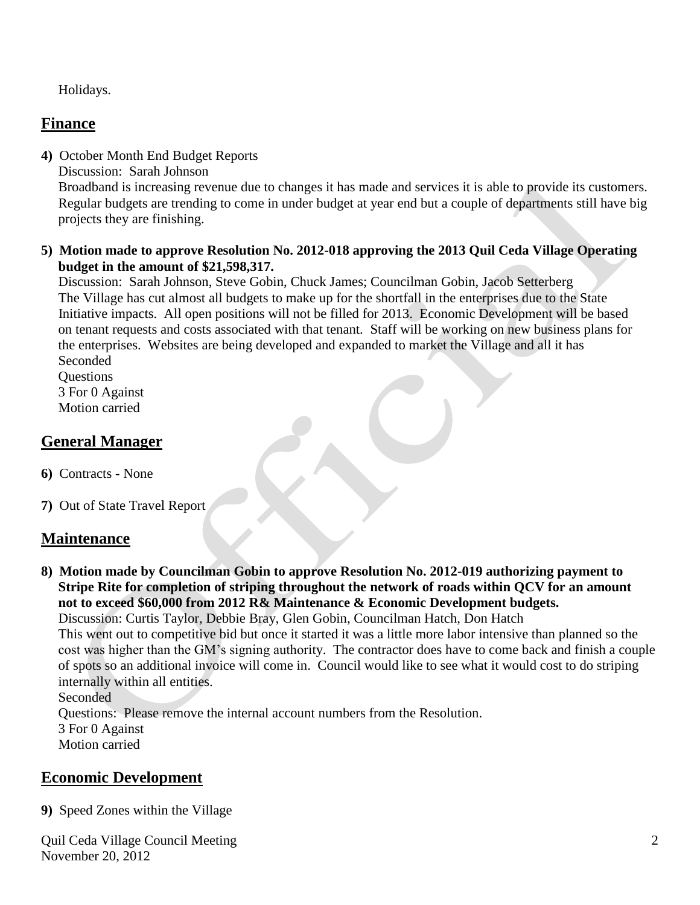Holidays.

# **Finance**

**4)** October Month End Budget Reports

Discussion: Sarah Johnson

 Broadband is increasing revenue due to changes it has made and services it is able to provide its customers. Regular budgets are trending to come in under budget at year end but a couple of departments still have big projects they are finishing.

#### **5) Motion made to approve Resolution No. 2012-018 approving the 2013 Quil Ceda Village Operating budget in the amount of \$21,598,317.**

 Discussion: Sarah Johnson, Steve Gobin, Chuck James; Councilman Gobin, Jacob Setterberg The Village has cut almost all budgets to make up for the shortfall in the enterprises due to the State Initiative impacts. All open positions will not be filled for 2013. Economic Development will be based on tenant requests and costs associated with that tenant. Staff will be working on new business plans for the enterprises. Websites are being developed and expanded to market the Village and all it has Seconded

**Ouestions**  3 For 0 Against Motion carried

# **General Manager**

- **6)** Contracts None
- **7)** Out of State Travel Report

## **Maintenance**

**8) Motion made by Councilman Gobin to approve Resolution No. 2012-019 authorizing payment to Stripe Rite for completion of striping throughout the network of roads within QCV for an amount not to exceed \$60,000 from 2012 R& Maintenance & Economic Development budgets.**

Discussion: Curtis Taylor, Debbie Bray, Glen Gobin, Councilman Hatch, Don Hatch This went out to competitive bid but once it started it was a little more labor intensive than planned so the cost was higher than the GM's signing authority. The contractor does have to come back and finish a couple of spots so an additional invoice will come in. Council would like to see what it would cost to do striping internally within all entities.

Seconded

Questions: Please remove the internal account numbers from the Resolution.

 3 For 0 Against Motion carried

# **Economic Development**

**9)** Speed Zones within the Village

Quil Ceda Village Council Meeting November 20, 2012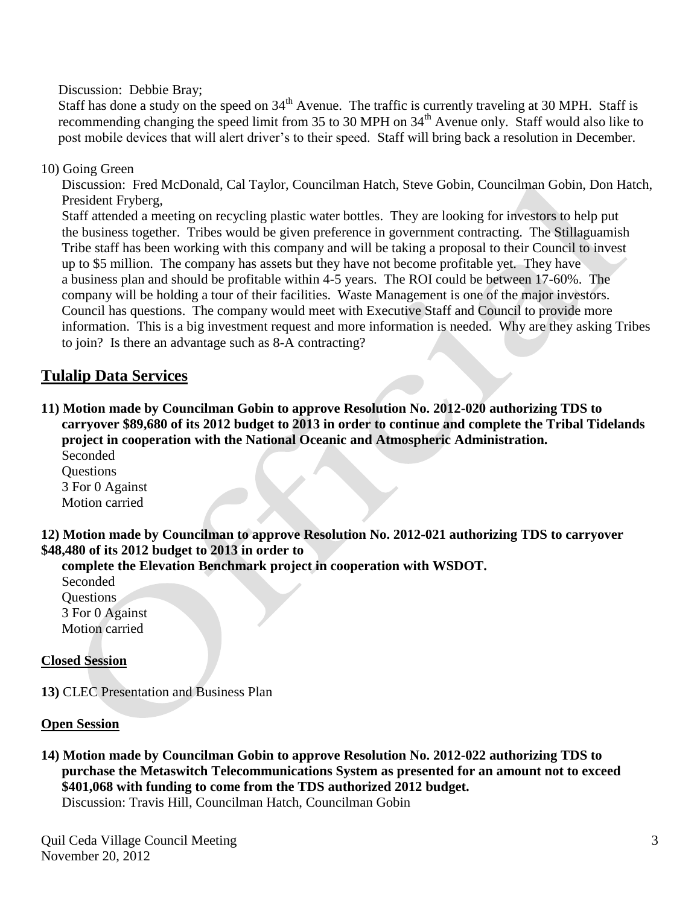Discussion: Debbie Bray;

Staff has done a study on the speed on  $34<sup>th</sup>$  Avenue. The traffic is currently traveling at 30 MPH. Staff is recommending changing the speed limit from 35 to 30 MPH on 34<sup>th</sup> Avenue only. Staff would also like to post mobile devices that will alert driver's to their speed. Staff will bring back a resolution in December.

#### 10) Going Green

 Discussion: Fred McDonald, Cal Taylor, Councilman Hatch, Steve Gobin, Councilman Gobin, Don Hatch, President Fryberg,

 Staff attended a meeting on recycling plastic water bottles. They are looking for investors to help put the business together. Tribes would be given preference in government contracting. The Stillaguamish Tribe staff has been working with this company and will be taking a proposal to their Council to invest up to \$5 million. The company has assets but they have not become profitable yet. They have a business plan and should be profitable within 4-5 years. The ROI could be between 17-60%. The company will be holding a tour of their facilities. Waste Management is one of the major investors. Council has questions. The company would meet with Executive Staff and Council to provide more information. This is a big investment request and more information is needed. Why are they asking Tribes to join? Is there an advantage such as 8-A contracting?

## **Tulalip Data Services**

**11) Motion made by Councilman Gobin to approve Resolution No. 2012-020 authorizing TDS to carryover \$89,680 of its 2012 budget to 2013 in order to continue and complete the Tribal Tidelands project in cooperation with the National Oceanic and Atmospheric Administration.** Seconded

**Ouestions**  3 For 0 Against Motion carried

**12) Motion made by Councilman to approve Resolution No. 2012-021 authorizing TDS to carryover \$48,480 of its 2012 budget to 2013 in order to**

 **complete the Elevation Benchmark project in cooperation with WSDOT.**

 Seconded **Ouestions**  3 For 0 Against Motion carried

#### **Closed Session**

**13)** CLEC Presentation and Business Plan

#### **Open Session**

**14) Motion made by Councilman Gobin to approve Resolution No. 2012-022 authorizing TDS to purchase the Metaswitch Telecommunications System as presented for an amount not to exceed \$401,068 with funding to come from the TDS authorized 2012 budget.** Discussion: Travis Hill, Councilman Hatch, Councilman Gobin